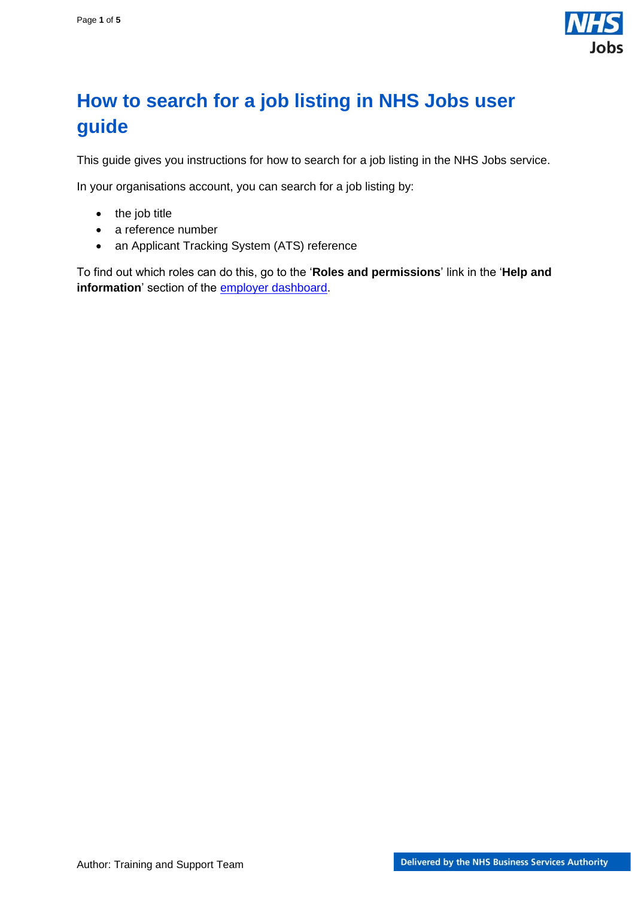

## <span id="page-0-0"></span>**How to search for a job listing in NHS Jobs user guide**

This guide gives you instructions for how to search for a job listing in the NHS Jobs service.

In your organisations account, you can search for a job listing by:

- the job title
- a reference number
- an Applicant Tracking System (ATS) reference

To find out which roles can do this, go to the '**Roles and permissions**' link in the '**Help and information**' section of the **employer dashboard**.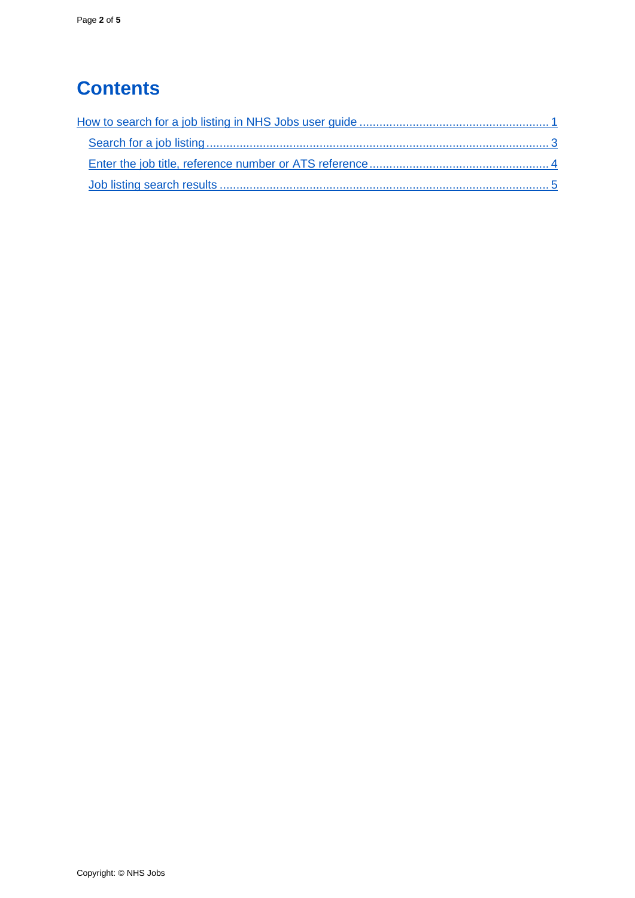# **Contents**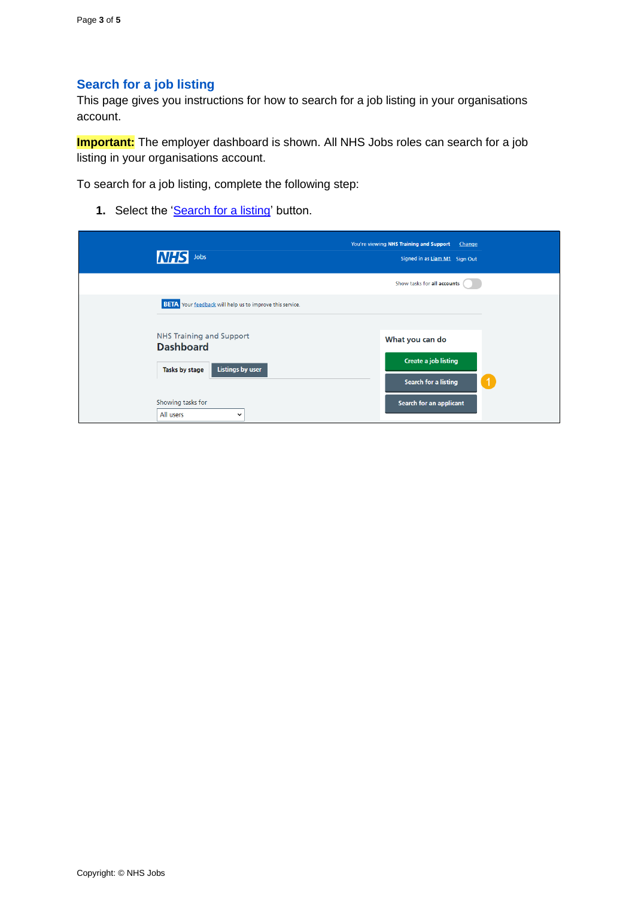### <span id="page-2-0"></span>**Search for a job listing**

This page gives you instructions for how to search for a job listing in your organisations account.

**Important:** The employer dashboard is shown. All NHS Jobs roles can search for a job listing in your organisations account.

To search for a job listing, complete the following step:

**1.** Select the ['Search for a listing'](#page-3-0) button.

| Jobs<br>INFI                                                                                     | You're viewing NHS Training and Support<br>Change<br>Signed in as Liam M1 Sign Out |
|--------------------------------------------------------------------------------------------------|------------------------------------------------------------------------------------|
|                                                                                                  | Show tasks for all accounts                                                        |
| <b>BETA</b> Your feedback will help us to improve this service.                                  |                                                                                    |
| <b>NHS Training and Support</b><br><b>Dashboard</b><br><b>Listings by user</b><br>Tasks by stage | What you can do<br><b>Create a job listing</b><br><b>Search for a listing</b>      |
| Showing tasks for<br>All users<br>$\checkmark$                                                   | Search for an applicant                                                            |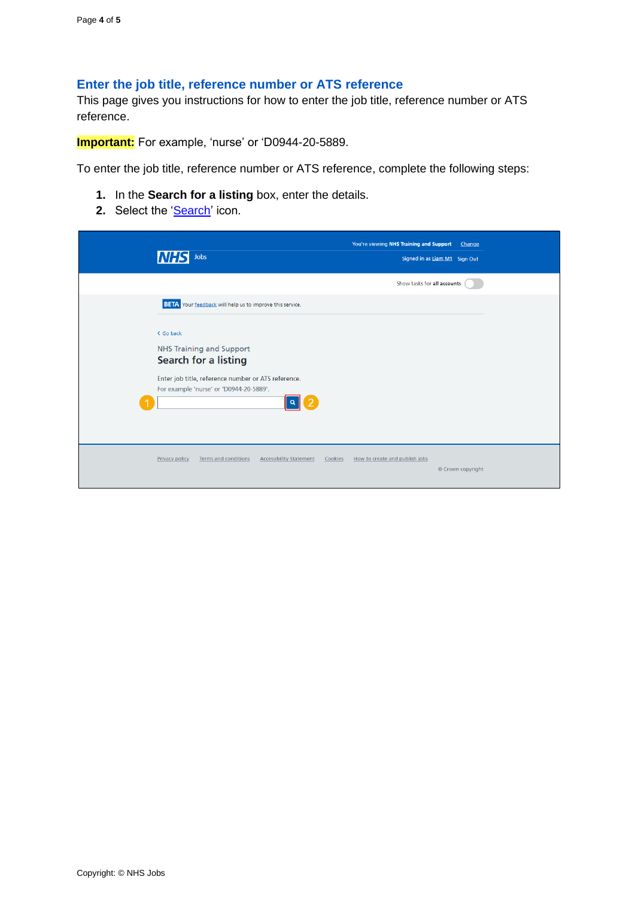### <span id="page-3-0"></span>**Enter the job title, reference number or ATS reference**

This page gives you instructions for how to enter the job title, reference number or ATS reference.

**Important:** For example, 'nurse' or 'D0944-20-5889.

To enter the job title, reference number or ATS reference, complete the following steps:

- **1.** In the **Search for a listing** box, enter the details.
- **2.** Select the ['Search'](#page-4-0) icon.

| Jobs<br><i>NHS</i>                                                                                                                                                                 | You're viewing NHS Training and Support<br>Change<br>Signed in as Liam M1 Sign Out |
|------------------------------------------------------------------------------------------------------------------------------------------------------------------------------------|------------------------------------------------------------------------------------|
|                                                                                                                                                                                    | Show tasks for all accounts                                                        |
| <b>BETA</b> Your feedback will help us to improve this service.                                                                                                                    |                                                                                    |
| < Go back<br><b>NHS Training and Support</b><br><b>Search for a listing</b><br>Enter job title, reference number or ATS reference.<br>For example 'nurse' or 'D0944-20-5889'.<br>っ |                                                                                    |
| <b>Terms and conditions</b><br><b>Accessibility Statement</b><br><b>Privacy policy</b><br>Cookies                                                                                  | How to create and publish jobs<br>© Crown copyright                                |